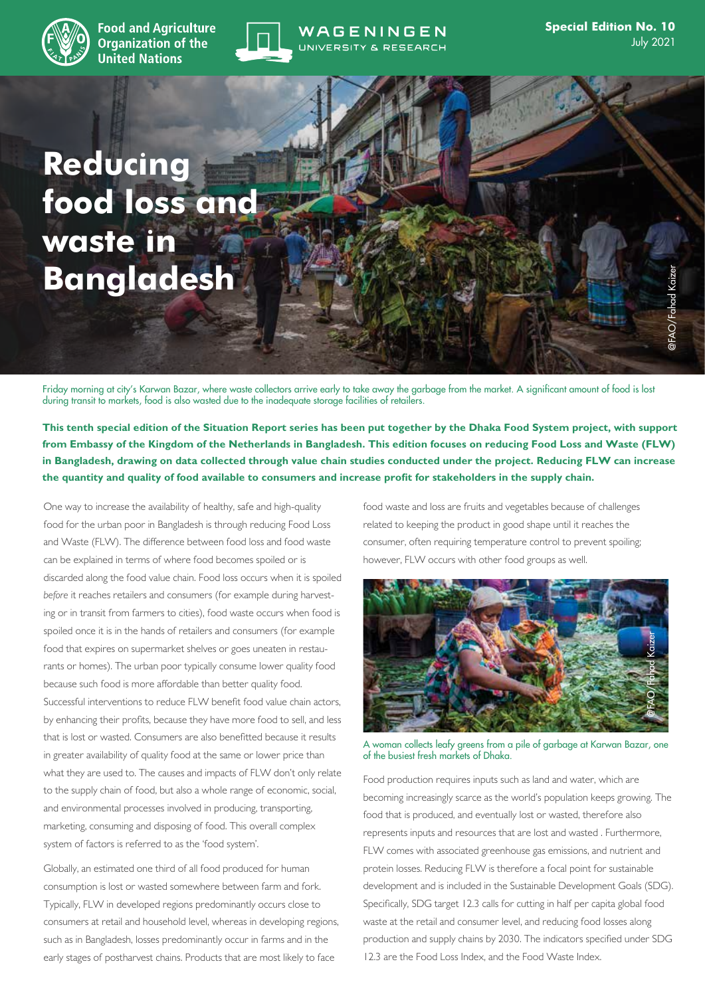

**Food and Agriculture Organization of the United Nations** 



# WAGENINGEN UNIVERSITY & RESEARCH

**Reducing food loss and waste in Bangladesh**

Friday morning at city's Karwan Bazar, where waste collectors arrive early to take away the garbage from the market. A significant amount of food is lost during transit to markets, food is also wasted due to the inadequate storage facilities of retailers.

**This tenth special edition of the Situation Report series has been put together by the Dhaka Food System project, with support from Embassy of the Kingdom of the Netherlands in Bangladesh. This edition focuses on reducing Food Loss and Waste (FLW) in Bangladesh, drawing on data collected through value chain studies conducted under the project. Reducing FLW can increase the quantity and quality of food available to consumers and increase profit for stakeholders in the supply chain.**

One way to increase the availability of healthy, safe and high-quality food for the urban poor in Bangladesh is through reducing Food Loss and Waste (FLW). The difference between food loss and food waste can be explained in terms of where food becomes spoiled or is discarded along the food value chain. Food loss occurs when it is spoiled *before* it reaches retailers and consumers (for example during harvesting or in transit from farmers to cities), food waste occurs when food is spoiled once it is in the hands of retailers and consumers (for example food that expires on supermarket shelves or goes uneaten in restaurants or homes). The urban poor typically consume lower quality food because such food is more affordable than better quality food. Successful interventions to reduce FLW benefit food value chain actors, by enhancing their profits, because they have more food to sell, and less that is lost or wasted. Consumers are also benefitted because it results in greater availability of quality food at the same or lower price than what they are used to. The causes and impacts of FLW don't only relate to the supply chain of food, but also a whole range of economic, social, and environmental processes involved in producing, transporting, marketing, consuming and disposing of food. This overall complex system of factors is referred to as the 'food system'.

Globally, an estimated one third of all food produced for human consumption is lost or wasted somewhere between farm and fork. Typically, FLW in developed regions predominantly occurs close to consumers at retail and household level, whereas in developing regions, such as in Bangladesh, losses predominantly occur in farms and in the early stages of postharvest chains. Products that are most likely to face

food waste and loss are fruits and vegetables because of challenges related to keeping the product in good shape until it reaches the consumer, often requiring temperature control to prevent spoiling; however, FLW occurs with other food groups as well.



A woman collects leafy greens from a pile of garbage at Karwan Bazar, one of the busiest fresh markets of Dhaka.

Food production requires inputs such as land and water, which are becoming increasingly scarce as the world's population keeps growing. The food that is produced, and eventually lost or wasted, therefore also represents inputs and resources that are lost and wasted . Furthermore, FLW comes with associated greenhouse gas emissions, and nutrient and protein losses. Reducing FLW is therefore a focal point for sustainable development and is included in the Sustainable Development Goals (SDG). Specifically, SDG target 12.3 calls for cutting in half per capita global food waste at the retail and consumer level, and reducing food losses along production and supply chains by 2030. The indicators specified under SDG 12.3 are the Food Loss Index, and the Food Waste Index.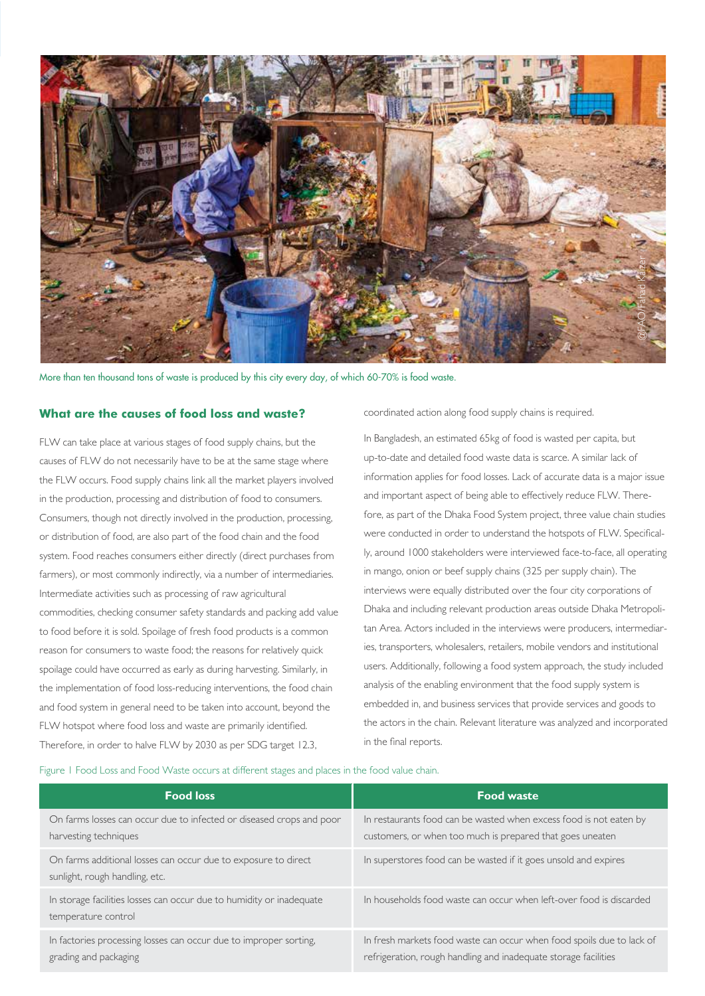

More than ten thousand tons of waste is produced by this city every day, of which 60-70% is food waste.

## **What are the causes of food loss and waste?**

FLW can take place at various stages of food supply chains, but the causes of FLW do not necessarily have to be at the same stage where the FLW occurs. Food supply chains link all the market players involved in the production, processing and distribution of food to consumers. Consumers, though not directly involved in the production, processing, or distribution of food, are also part of the food chain and the food system. Food reaches consumers either directly (direct purchases from farmers), or most commonly indirectly, via a number of intermediaries. Intermediate activities such as processing of raw agricultural commodities, checking consumer safety standards and packing add value to food before it is sold. Spoilage of fresh food products is a common reason for consumers to waste food; the reasons for relatively quick spoilage could have occurred as early as during harvesting. Similarly, in the implementation of food loss-reducing interventions, the food chain and food system in general need to be taken into account, beyond the FLW hotspot where food loss and waste are primarily identified. Therefore, in order to halve FLW by 2030 as per SDG target 12.3,

coordinated action along food supply chains is required.

In Bangladesh, an estimated 65kg of food is wasted per capita, but up-to-date and detailed food waste data is scarce. A similar lack of information applies for food losses. Lack of accurate data is a major issue and important aspect of being able to effectively reduce FLW. Therefore, as part of the Dhaka Food System project, three value chain studies were conducted in order to understand the hotspots of FLW. Specifically, around 1000 stakeholders were interviewed face-to-face, all operating in mango, onion or beef supply chains (325 per supply chain). The interviews were equally distributed over the four city corporations of Dhaka and including relevant production areas outside Dhaka Metropolitan Area. Actors included in the interviews were producers, intermediaries, transporters, wholesalers, retailers, mobile vendors and institutional users. Additionally, following a food system approach, the study included analysis of the enabling environment that the food supply system is embedded in, and business services that provide services and goods to the actors in the chain. Relevant literature was analyzed and incorporated in the final reports.

#### Figure 1 Food Loss and Food Waste occurs at different stages and places in the food value chain.

| <b>Food loss</b>                                                                                 | <b>Food waste</b>                                                                                                                        |
|--------------------------------------------------------------------------------------------------|------------------------------------------------------------------------------------------------------------------------------------------|
| On farms losses can occur due to infected or diseased crops and poor<br>harvesting techniques    | In restaurants food can be wasted when excess food is not eaten by<br>customers, or when too much is prepared that goes uneaten          |
| On farms additional losses can occur due to exposure to direct<br>sunlight, rough handling, etc. | In superstores food can be wasted if it goes unsold and expires                                                                          |
| In storage facilities losses can occur due to humidity or inadequate<br>temperature control      | In households food waste can occur when left-over food is discarded                                                                      |
| In factories processing losses can occur due to improper sorting,<br>grading and packaging       | In fresh markets food waste can occur when food spoils due to lack of<br>refrigeration, rough handling and inadequate storage facilities |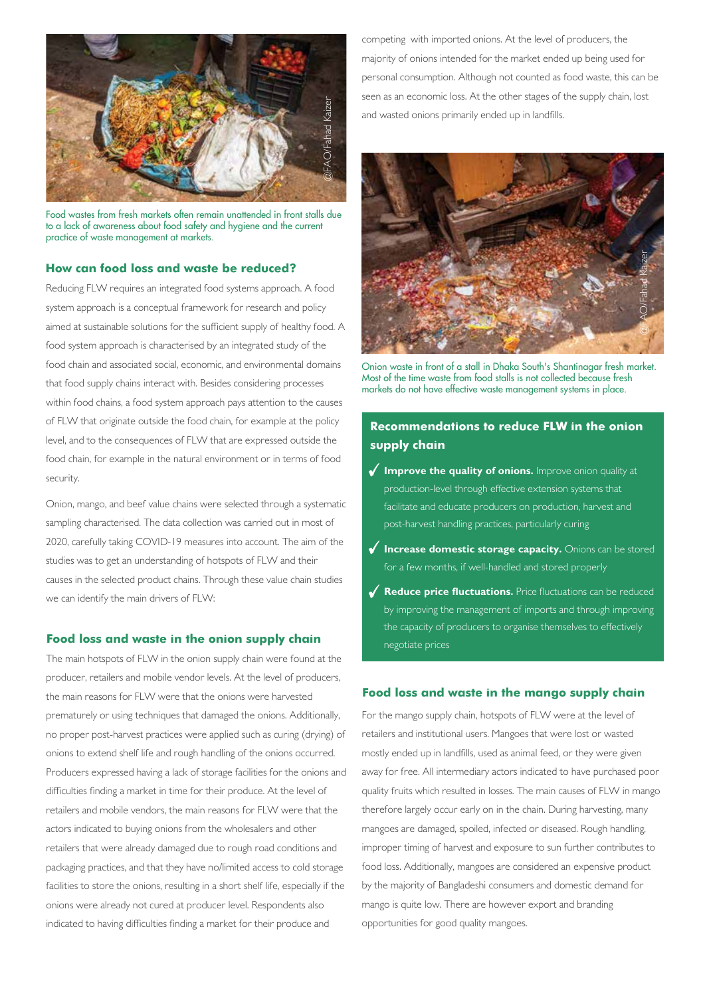

Food wastes from fresh markets often remain unattended in front stalls due to a lack of awareness about food safety and hygiene and the current practice of waste management at markets.

## **How can food loss and waste be reduced?**

Reducing FLW requires an integrated food systems approach. A food system approach is a conceptual framework for research and policy aimed at sustainable solutions for the sufficient supply of healthy food. A food system approach is characterised by an integrated study of the food chain and associated social, economic, and environmental domains that food supply chains interact with. Besides considering processes within food chains, a food system approach pays attention to the causes of FLW that originate outside the food chain, for example at the policy level, and to the consequences of FLW that are expressed outside the food chain, for example in the natural environment or in terms of food security.

Onion, mango, and beef value chains were selected through a systematic sampling characterised. The data collection was carried out in most of 2020, carefully taking COVID-19 measures into account. The aim of the studies was to get an understanding of hotspots of FLW and their causes in the selected product chains. Through these value chain studies we can identify the main drivers of FLW:

#### **Food loss and waste in the onion supply chain**

The main hotspots of FLW in the onion supply chain were found at the producer, retailers and mobile vendor levels. At the level of producers, the main reasons for FLW were that the onions were harvested prematurely or using techniques that damaged the onions. Additionally, no proper post-harvest practices were applied such as curing (drying) of onions to extend shelf life and rough handling of the onions occurred. Producers expressed having a lack of storage facilities for the onions and difficulties finding a market in time for their produce. At the level of retailers and mobile vendors, the main reasons for FLW were that the actors indicated to buying onions from the wholesalers and other retailers that were already damaged due to rough road conditions and packaging practices, and that they have no/limited access to cold storage facilities to store the onions, resulting in a short shelf life, especially if the onions were already not cured at producer level. Respondents also indicated to having difficulties finding a market for their produce and

competing with imported onions. At the level of producers, the majority of onions intended for the market ended up being used for personal consumption. Although not counted as food waste, this can be seen as an economic loss. At the other stages of the supply chain, lost and wasted onions primarily ended up in landfills.



Onion waste in front of a stall in Dhaka South's Shantinagar fresh market. Most of the time waste from food stalls is not collected because fresh markets do not have effective waste management systems in place.

# **Recommendations to reduce FLW in the onion supply chain**

- **Improve the quality of onions.** Improve onion quality at production-level through effective extension systems that facilitate and educate producers on production, harvest and post-harvest handling practices, particularly curing
- **Increase domestic storage capacity.** Onions can be stored for a few months, if well-handled and stored properly
- **Reduce price fluctuations.** Price fluctuations can be reduced by improving the management of imports and through improving the capacity of producers to organise themselves to effectively negotiate prices

#### **Food loss and waste in the mango supply chain**

For the mango supply chain, hotspots of FLW were at the level of retailers and institutional users. Mangoes that were lost or wasted mostly ended up in landfills, used as animal feed, or they were given away for free. All intermediary actors indicated to have purchased poor quality fruits which resulted in losses. The main causes of FLW in mango therefore largely occur early on in the chain. During harvesting, many mangoes are damaged, spoiled, infected or diseased. Rough handling, improper timing of harvest and exposure to sun further contributes to food loss. Additionally, mangoes are considered an expensive product by the majority of Bangladeshi consumers and domestic demand for mango is quite low. There are however export and branding opportunities for good quality mangoes.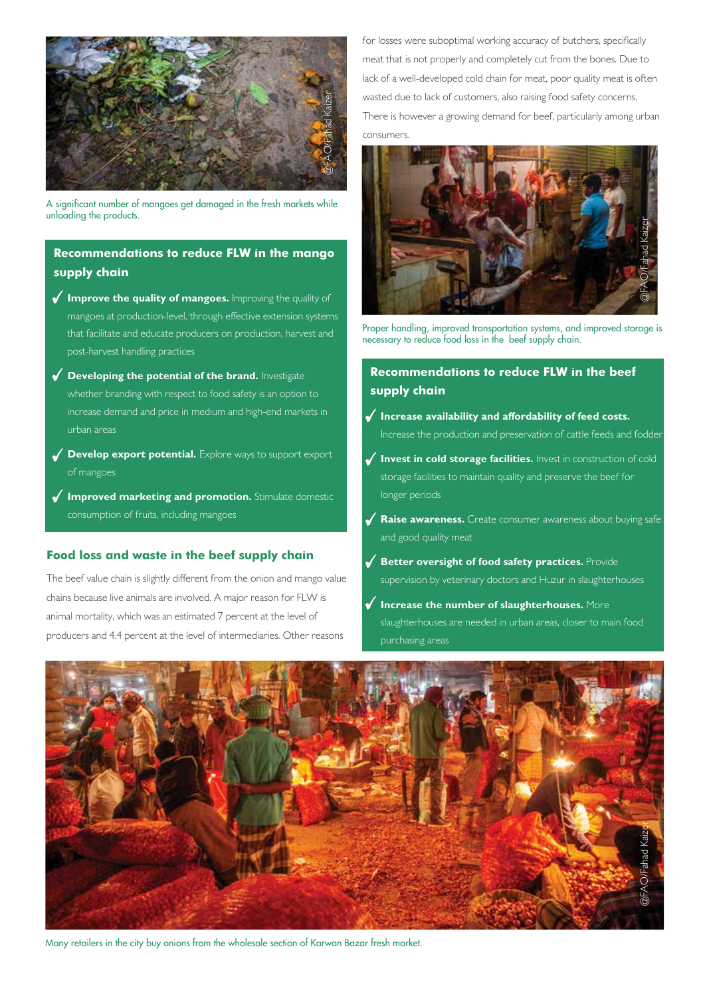

A significant number of mangoes get damaged in the fresh markets while unloading the products.

## **Recommendations to reduce FLW in the mango supply chain**

- **Improve the quality of mangoes.** Improving the quality of mangoes at production-level, through effective extension systems that facilitate and educate producers on production, harvest and post-harvest handling practices
- **Developing the potential of the brand.** Investigate whether branding with respect to food safety is an option to increase demand and price in medium and high-end markets in urban areas
- **Develop export potential.** Explore ways to support export of mangoes
- **Improved marketing and promotion.** Stimulate domestic consumption of fruits, including mangoes

#### **Food loss and waste in the beef supply chain**

The beef value chain is slightly different from the onion and mango value chains because live animals are involved. A major reason for FLW is animal mortality, which was an estimated 7 percent at the level of producers and 4.4 percent at the level of intermediaries. Other reasons

for losses were suboptimal working accuracy of butchers, specifically meat that is not properly and completely cut from the bones. Due to lack of a well-developed cold chain for meat, poor quality meat is often wasted due to lack of customers, also raising food safety concerns. There is however a growing demand for beef, particularly among urban consumers.



Proper handling, improved transportation systems, and improved storage is necessary to reduce food loss in the beef supply chain.

## **Recommendations to reduce FLW in the beef supply chain**

- $\checkmark$  Increase availability and affordability of feed costs. Increase the production and preservation of cattle feeds and fodder
- **Invest in cold storage facilities.** Invest in construction of cold storage facilities to maintain quality and preserve the beef for longer periods
- **Raise awareness.** Create consumer awareness about buying safe and good quality meat
- **Better oversight of food safety practices.** Provide supervision by veterinary doctors and Huzur in slaughterhouses
- **Increase the number of slaughterhouses.** More slaughterhouses are needed in urban areas, closer to main food purchasing areas



Many retailers in the city buy onions from the wholesale section of Karwan Bazar fresh market.